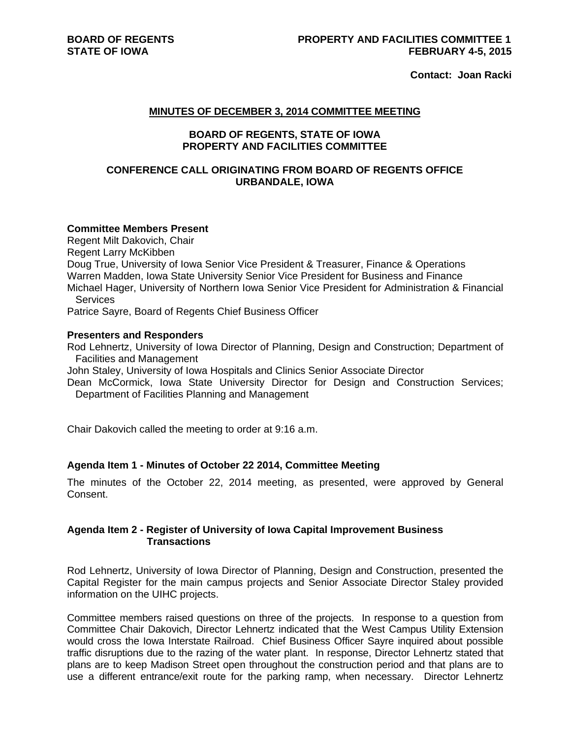**Contact: Joan Racki**

### **MINUTES OF DECEMBER 3, 2014 COMMITTEE MEETING**

# **BOARD OF REGENTS, STATE OF IOWA PROPERTY AND FACILITIES COMMITTEE**

# **CONFERENCE CALL ORIGINATING FROM BOARD OF REGENTS OFFICE URBANDALE, IOWA**

# **Committee Members Present**

Regent Milt Dakovich, Chair Regent Larry McKibben Doug True, University of Iowa Senior Vice President & Treasurer, Finance & Operations Warren Madden, Iowa State University Senior Vice President for Business and Finance Michael Hager, University of Northern Iowa Senior Vice President for Administration & Financial **Services** 

Patrice Sayre, Board of Regents Chief Business Officer

#### **Presenters and Responders**

Rod Lehnertz, University of Iowa Director of Planning, Design and Construction; Department of Facilities and Management

John Staley, University of Iowa Hospitals and Clinics Senior Associate Director

Dean McCormick, Iowa State University Director for Design and Construction Services; Department of Facilities Planning and Management

Chair Dakovich called the meeting to order at 9:16 a.m.

#### **Agenda Item 1 - Minutes of October 22 2014, Committee Meeting**

The minutes of the October 22, 2014 meeting, as presented, were approved by General Consent.

# **Agenda Item 2 - Register of University of Iowa Capital Improvement Business Transactions**

Rod Lehnertz, University of Iowa Director of Planning, Design and Construction, presented the Capital Register for the main campus projects and Senior Associate Director Staley provided information on the UIHC projects.

Committee members raised questions on three of the projects. In response to a question from Committee Chair Dakovich, Director Lehnertz indicated that the West Campus Utility Extension would cross the Iowa Interstate Railroad. Chief Business Officer Sayre inquired about possible traffic disruptions due to the razing of the water plant. In response, Director Lehnertz stated that plans are to keep Madison Street open throughout the construction period and that plans are to use a different entrance/exit route for the parking ramp, when necessary. Director Lehnertz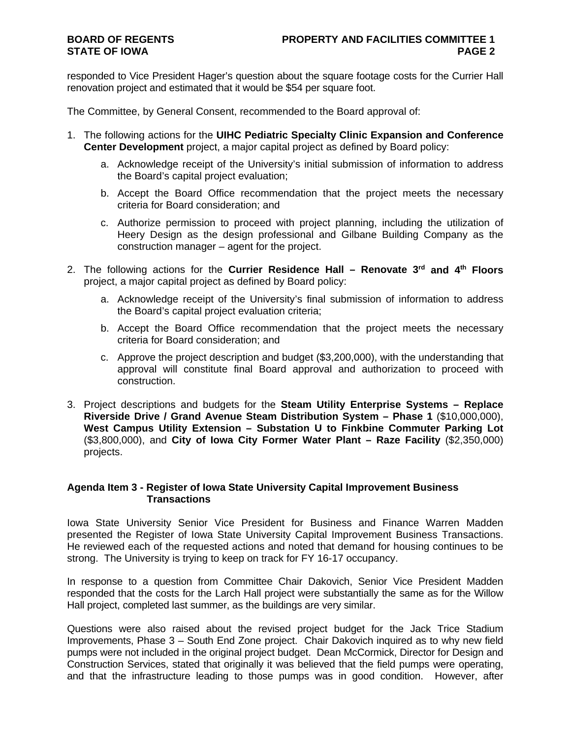responded to Vice President Hager's question about the square footage costs for the Currier Hall renovation project and estimated that it would be \$54 per square foot.

The Committee, by General Consent, recommended to the Board approval of:

- 1. The following actions for the **UIHC Pediatric Specialty Clinic Expansion and Conference Center Development** project, a major capital project as defined by Board policy:
	- a. Acknowledge receipt of the University's initial submission of information to address the Board's capital project evaluation;
	- b. Accept the Board Office recommendation that the project meets the necessary criteria for Board consideration; and
	- c. Authorize permission to proceed with project planning, including the utilization of Heery Design as the design professional and Gilbane Building Company as the construction manager – agent for the project.
- 2. The following actions for the **Currier Residence Hall Renovate 3rd and 4th Floors**  project, a major capital project as defined by Board policy:
	- a. Acknowledge receipt of the University's final submission of information to address the Board's capital project evaluation criteria;
	- b. Accept the Board Office recommendation that the project meets the necessary criteria for Board consideration; and
	- c. Approve the project description and budget (\$3,200,000), with the understanding that approval will constitute final Board approval and authorization to proceed with construction.
- 3. Project descriptions and budgets for the **Steam Utility Enterprise Systems Replace Riverside Drive / Grand Avenue Steam Distribution System – Phase 1** (\$10,000,000), **West Campus Utility Extension – Substation U to Finkbine Commuter Parking Lot** (\$3,800,000), and **City of Iowa City Former Water Plant – Raze Facility** (\$2,350,000) projects.

# **Agenda Item 3 - Register of Iowa State University Capital Improvement Business Transactions**

Iowa State University Senior Vice President for Business and Finance Warren Madden presented the Register of Iowa State University Capital Improvement Business Transactions. He reviewed each of the requested actions and noted that demand for housing continues to be strong. The University is trying to keep on track for FY 16-17 occupancy.

In response to a question from Committee Chair Dakovich, Senior Vice President Madden responded that the costs for the Larch Hall project were substantially the same as for the Willow Hall project, completed last summer, as the buildings are very similar.

Questions were also raised about the revised project budget for the Jack Trice Stadium Improvements, Phase 3 – South End Zone project. Chair Dakovich inquired as to why new field pumps were not included in the original project budget. Dean McCormick, Director for Design and Construction Services, stated that originally it was believed that the field pumps were operating, and that the infrastructure leading to those pumps was in good condition. However, after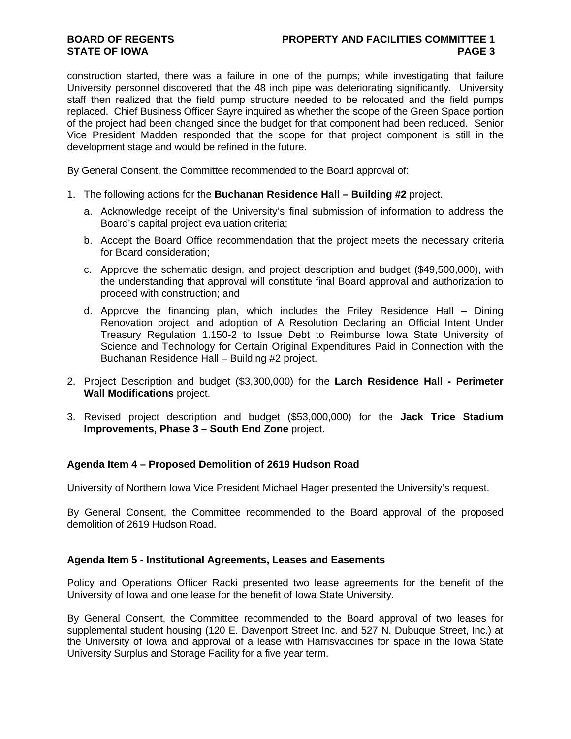# **BOARD OF REGENTS PROPERTY AND FACILITIES COMMITTEE 1 STATE OF IOWA** PAGE 3

construction started, there was a failure in one of the pumps; while investigating that failure University personnel discovered that the 48 inch pipe was deteriorating significantly. University staff then realized that the field pump structure needed to be relocated and the field pumps replaced. Chief Business Officer Sayre inquired as whether the scope of the Green Space portion of the project had been changed since the budget for that component had been reduced. Senior Vice President Madden responded that the scope for that project component is still in the development stage and would be refined in the future.

By General Consent, the Committee recommended to the Board approval of:

- 1. The following actions for the **Buchanan Residence Hall Building #2** project.
	- a. Acknowledge receipt of the University's final submission of information to address the Board's capital project evaluation criteria;
	- b. Accept the Board Office recommendation that the project meets the necessary criteria for Board consideration;
	- c. Approve the schematic design, and project description and budget (\$49,500,000), with the understanding that approval will constitute final Board approval and authorization to proceed with construction; and
	- d. Approve the financing plan, which includes the Friley Residence Hall Dining Renovation project, and adoption of A Resolution Declaring an Official Intent Under Treasury Regulation 1.150-2 to Issue Debt to Reimburse Iowa State University of Science and Technology for Certain Original Expenditures Paid in Connection with the Buchanan Residence Hall – Building #2 project.
- 2. Project Description and budget (\$3,300,000) for the **Larch Residence Hall Perimeter Wall Modifications** project.
- 3. Revised project description and budget (\$53,000,000) for the **Jack Trice Stadium Improvements, Phase 3 – South End Zone** project.

# **Agenda Item 4 – Proposed Demolition of 2619 Hudson Road**

University of Northern Iowa Vice President Michael Hager presented the University's request.

By General Consent, the Committee recommended to the Board approval of the proposed demolition of 2619 Hudson Road.

# **Agenda Item 5 - Institutional Agreements, Leases and Easements**

Policy and Operations Officer Racki presented two lease agreements for the benefit of the University of Iowa and one lease for the benefit of Iowa State University.

By General Consent, the Committee recommended to the Board approval of two leases for supplemental student housing (120 E. Davenport Street Inc. and 527 N. Dubuque Street, Inc.) at the University of Iowa and approval of a lease with Harrisvaccines for space in the Iowa State University Surplus and Storage Facility for a five year term.